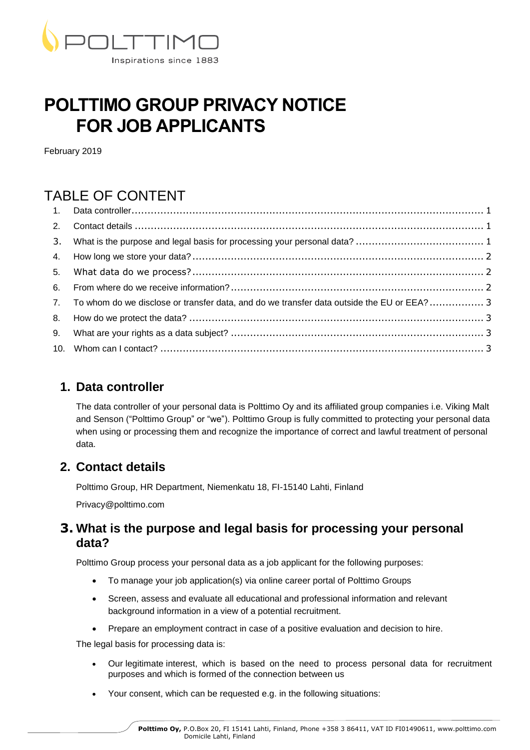

# **POLTTIMO GROUP PRIVACY NOTICE FOR JOB APPLICANTS**

February 2019

# TABLE OF CONTENT

| 7. To whom do we disclose or transfer data, and do we transfer data outside the EU or EEA?  3 |  |
|-----------------------------------------------------------------------------------------------|--|
|                                                                                               |  |
|                                                                                               |  |
|                                                                                               |  |

# <span id="page-0-0"></span>**1. Data controller**

The data controller of your personal data is Polttimo Oy and its affiliated group companies i.e. Viking Malt and Senson ("Polttimo Group" or "we"). Polttimo Group is fully committed to protecting your personal data when using or processing them and recognize the importance of correct and lawful treatment of personal data.

# <span id="page-0-1"></span>**2. Contact details**

Polttimo Group, HR Department, Niemenkatu 18, FI-15140 Lahti, Finland

Privacy@polttimo.com

#### <span id="page-0-2"></span>**3. What is the purpose and legal basis for processing your personal data?**

Polttimo Group process your personal data as a job applicant for the following purposes:

- To manage your job application(s) via online career portal of Polttimo Groups
- Screen, assess and evaluate all educational and professional information and relevant background information in a view of a potential recruitment.
- Prepare an employment contract in case of a positive evaluation and decision to hire.

The legal basis for processing data is:

- Our legitimate interest, which is based on the need to process personal data for recruitment purposes and which is formed of the connection between us
- Your consent, which can be requested e.g. in the following situations: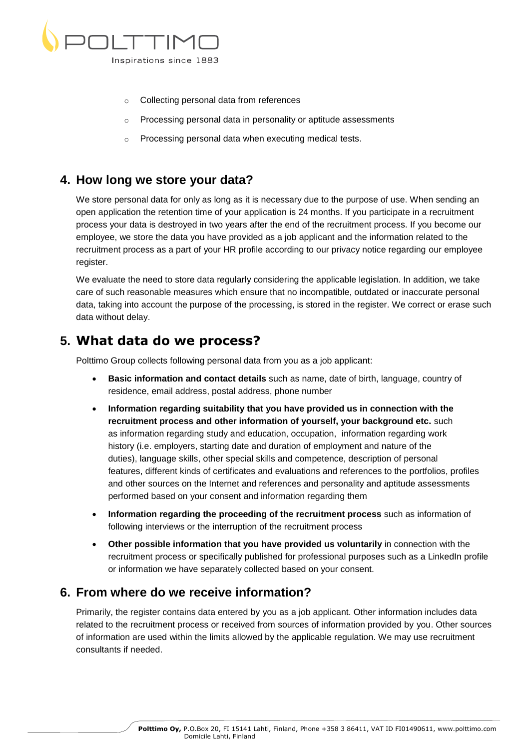

- o Collecting personal data from references
- o Processing personal data in personality or aptitude assessments
- o Processing personal data when executing medical tests.

#### <span id="page-1-0"></span>**4. How long we store your data?**

We store personal data for only as long as it is necessary due to the purpose of use. When sending an open application the retention time of your application is 24 months. If you participate in a recruitment process your data is destroyed in two years after the end of the recruitment process. If you become our employee, we store the data you have provided as a job applicant and the information related to the recruitment process as a part of your HR profile according to our privacy notice regarding our employee register.

We evaluate the need to store data regularly considering the applicable legislation. In addition, we take care of such reasonable measures which ensure that no incompatible, outdated or inaccurate personal data, taking into account the purpose of the processing, is stored in the register. We correct or erase such data without delay.

# <span id="page-1-1"></span>**5. What data do we process?**

Polttimo Group collects following personal data from you as a job applicant:

- **Basic information and contact details** such as name, date of birth, language, country of residence, email address, postal address, phone number
- **Information regarding suitability that you have provided us in connection with the recruitment process and other information of yourself, your background etc.** such as information regarding study and education, occupation, information regarding work history (i.e. employers, starting date and duration of employment and nature of the duties), language skills, other special skills and competence, description of personal features, different kinds of certificates and evaluations and references to the portfolios, profiles and other sources on the Internet and references and personality and aptitude assessments performed based on your consent and information regarding them
- **Information regarding the proceeding of the recruitment process** such as information of following interviews or the interruption of the recruitment process
- **Other possible information that you have provided us voluntarily** in connection with the recruitment process or specifically published for professional purposes such as a LinkedIn profile or information we have separately collected based on your consent.

# <span id="page-1-2"></span>**6. From where do we receive information?**

Primarily, the register contains data entered by you as a job applicant. Other information includes data related to the recruitment process or received from sources of information provided by you. Other sources of information are used within the limits allowed by the applicable regulation. We may use recruitment consultants if needed.